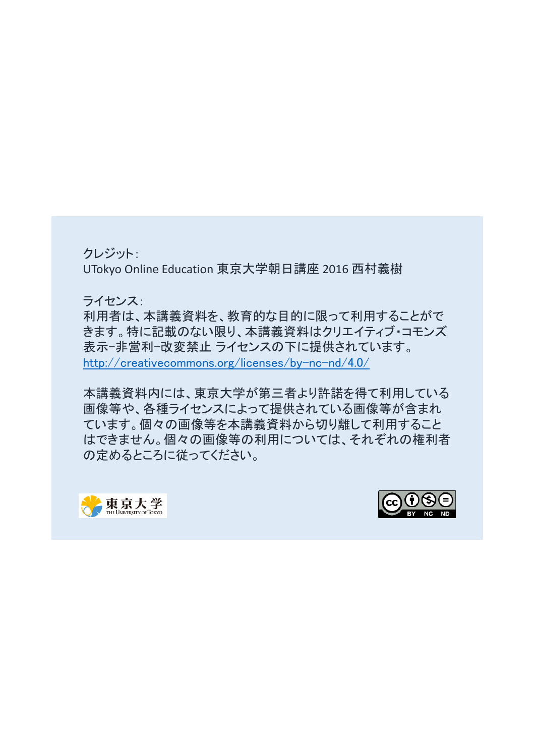クレジット:

UTokyo Online Education 東京大学朝日講座 2016 西村義樹

ライセンス:

利用者は、本講義資料を、教育的な目的に限って利用することがで きます。特に記載のない限り、本講義資料はクリエイティブ・コモンズ 表示-非営利-改変禁止 ライセンスの下に提供されています。 [http://creativecommons.org/licenses/by-nc-nd/4.0/](https://creativecommons.org/licenses/by-nc-nd/4.0/)

本講義資料内には、東京大学が第三者より許諾を得て利用している 画像等や、各種ライセンスによって提供されている画像等が含まれ ています。個々の画像等を本講義資料から切り離して利用すること はできません。個々の画像等の利用については、それぞれの権利者 の定めるところに従ってください。



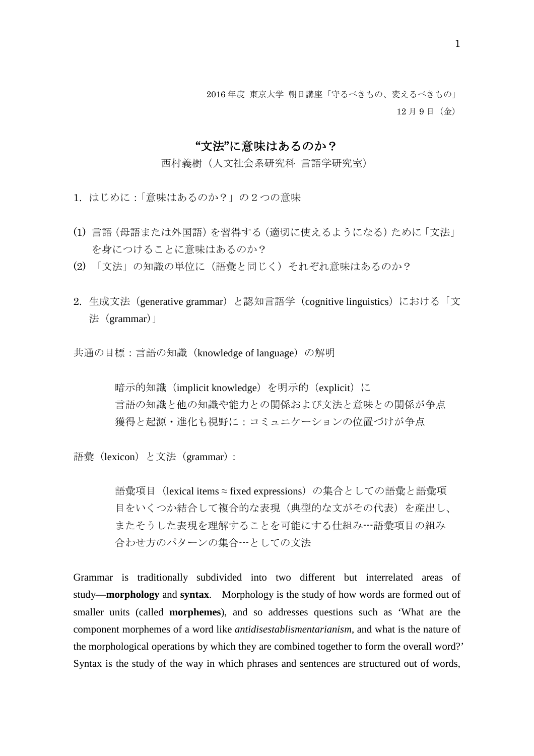12 月 9 日(金)

## "文法"に意味はあるのか?

西村義樹(人文社会系研究科 言語学研究室)

- 1. はじめに:「意味はあるのか?」の2つの意味
- (1) 言語(母語または外国語)を習得する(適切に使えるようになる)ために「文法」 を身につけることに意味はあるのか?
- (2) 「文法」の知識の単位に(語彙と同じく)それぞれ意味はあるのか?
- 2. 生成文法(generative grammar)と認知言語学(cognitive linguistics)における「文 法 (grammar) |

共通の目標:言語の知識(knowledge of language)の解明

暗示的知識 (implicit knowledge) を明示的 (explicit)に 言語の知識と他の知識や能力との関係および文法と意味との関係が争点 獲得と起源・進化も視野に:コミュニケーションの位置づけが争点

語彙(lexicon)と文法(grammar):

語彙項目(lexical items ≈ fixed expressions)の集合としての語彙と語彙項 目をいくつか結合して複合的な表現(典型的な文がその代表)を産出し、 またそうした表現を理解することを可能にする仕組み---語彙項目の組み 合わせ方のパターンの集合---としての文法

Grammar is traditionally subdivided into two different but interrelated areas of study—**morphology** and **syntax**. Morphology is the study of how words are formed out of smaller units (called **morphemes**), and so addresses questions such as 'What are the component morphemes of a word like *antidisestablismentarianism*, and what is the nature of the morphological operations by which they are combined together to form the overall word?' Syntax is the study of the way in which phrases and sentences are structured out of words,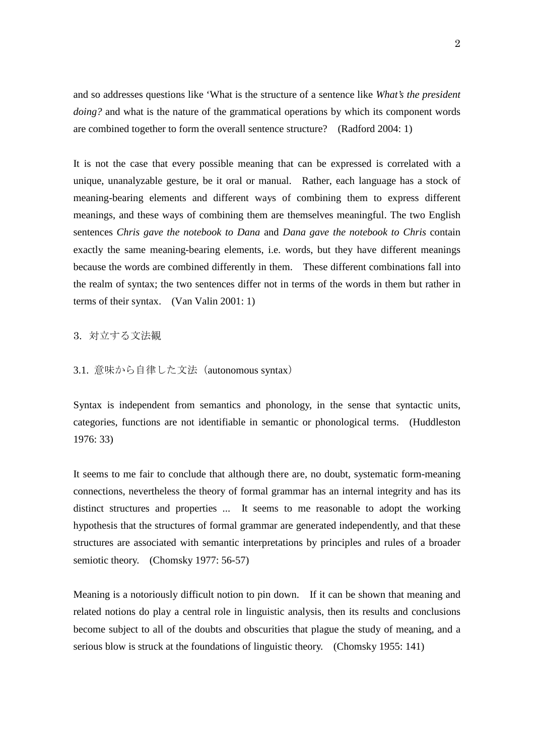and so addresses questions like 'What is the structure of a sentence like *What's the president doing?* and what is the nature of the grammatical operations by which its component words are combined together to form the overall sentence structure? (Radford 2004: 1)

It is not the case that every possible meaning that can be expressed is correlated with a unique, unanalyzable gesture, be it oral or manual. Rather, each language has a stock of meaning-bearing elements and different ways of combining them to express different meanings, and these ways of combining them are themselves meaningful. The two English sentences *Chris gave the notebook to Dana* and *Dana gave the notebook to Chris* contain exactly the same meaning-bearing elements, i.e. words, but they have different meanings because the words are combined differently in them. These different combinations fall into the realm of syntax; the two sentences differ not in terms of the words in them but rather in terms of their syntax. (Van Valin 2001: 1)

3. 対立する文法観

3.1. 意味から自律した文法(autonomous syntax)

Syntax is independent from semantics and phonology, in the sense that syntactic units, categories, functions are not identifiable in semantic or phonological terms. (Huddleston 1976: 33)

It seems to me fair to conclude that although there are, no doubt, systematic form-meaning connections, nevertheless the theory of formal grammar has an internal integrity and has its distinct structures and properties ... It seems to me reasonable to adopt the working hypothesis that the structures of formal grammar are generated independently, and that these structures are associated with semantic interpretations by principles and rules of a broader semiotic theory. (Chomsky 1977: 56-57)

Meaning is a notoriously difficult notion to pin down. If it can be shown that meaning and related notions do play a central role in linguistic analysis, then its results and conclusions become subject to all of the doubts and obscurities that plague the study of meaning, and a serious blow is struck at the foundations of linguistic theory. (Chomsky 1955: 141)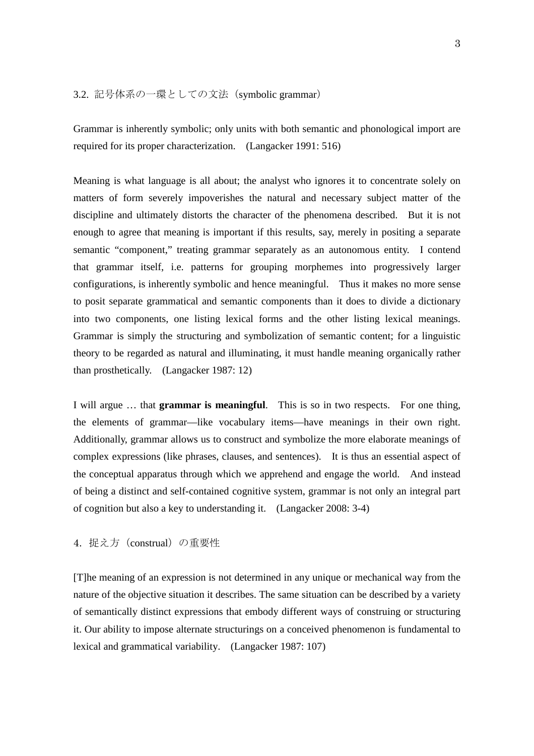3.2. 記号体系の一環としての文法(symbolic grammar)

Grammar is inherently symbolic; only units with both semantic and phonological import are required for its proper characterization. (Langacker 1991: 516)

Meaning is what language is all about; the analyst who ignores it to concentrate solely on matters of form severely impoverishes the natural and necessary subject matter of the discipline and ultimately distorts the character of the phenomena described. But it is not enough to agree that meaning is important if this results, say, merely in positing a separate semantic "component," treating grammar separately as an autonomous entity. I contend that grammar itself, i.e. patterns for grouping morphemes into progressively larger configurations, is inherently symbolic and hence meaningful. Thus it makes no more sense to posit separate grammatical and semantic components than it does to divide a dictionary into two components, one listing lexical forms and the other listing lexical meanings. Grammar is simply the structuring and symbolization of semantic content; for a linguistic theory to be regarded as natural and illuminating, it must handle meaning organically rather than prosthetically. (Langacker 1987: 12)

I will argue … that **grammar is meaningful**. This is so in two respects. For one thing, the elements of grammar—like vocabulary items—have meanings in their own right. Additionally, grammar allows us to construct and symbolize the more elaborate meanings of complex expressions (like phrases, clauses, and sentences). It is thus an essential aspect of the conceptual apparatus through which we apprehend and engage the world. And instead of being a distinct and self-contained cognitive system, grammar is not only an integral part of cognition but also a key to understanding it. (Langacker 2008: 3-4)

4. 捉え方(construal)の重要性

[T]he meaning of an expression is not determined in any unique or mechanical way from the nature of the objective situation it describes. The same situation can be described by a variety of semantically distinct expressions that embody different ways of construing or structuring it. Our ability to impose alternate structurings on a conceived phenomenon is fundamental to lexical and grammatical variability. (Langacker 1987: 107)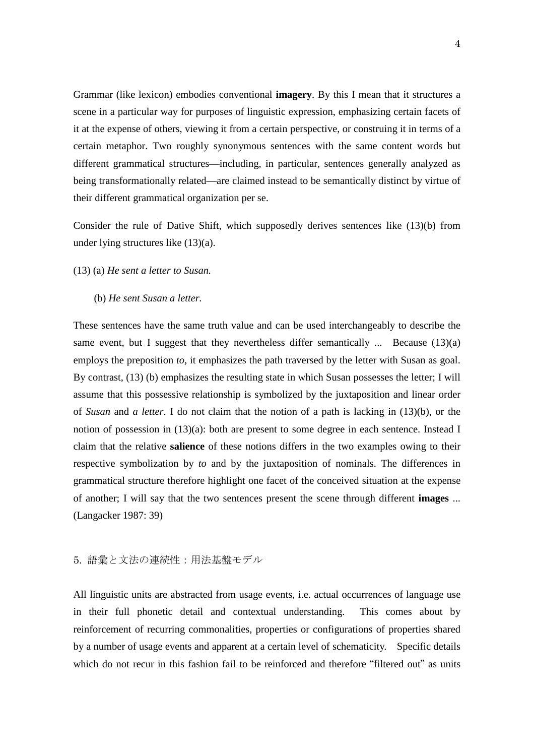Grammar (like lexicon) embodies conventional **imagery**. By this I mean that it structures a scene in a particular way for purposes of linguistic expression, emphasizing certain facets of it at the expense of others, viewing it from a certain perspective, or construing it in terms of a certain metaphor. Two roughly synonymous sentences with the same content words but different grammatical structures—including, in particular, sentences generally analyzed as being transformationally related—are claimed instead to be semantically distinct by virtue of their different grammatical organization per se.

Consider the rule of Dative Shift, which supposedly derives sentences like (13)(b) from under lying structures like (13)(a).

## (13) (a) *He sent a letter to Susan.*

(b) *He sent Susan a letter.*

These sentences have the same truth value and can be used interchangeably to describe the same event, but I suggest that they nevertheless differ semantically  $\ldots$  Because (13)(a) employs the preposition *to*, it emphasizes the path traversed by the letter with Susan as goal. By contrast, (13) (b) emphasizes the resulting state in which Susan possesses the letter; I will assume that this possessive relationship is symbolized by the juxtaposition and linear order of *Susan* and *a letter*. I do not claim that the notion of a path is lacking in (13)(b), or the notion of possession in (13)(a): both are present to some degree in each sentence. Instead I claim that the relative **salience** of these notions differs in the two examples owing to their respective symbolization by *to* and by the juxtaposition of nominals. The differences in grammatical structure therefore highlight one facet of the conceived situation at the expense of another; I will say that the two sentences present the scene through different **images** ... (Langacker 1987: 39)

## 5. 語彙と文法の連続性:用法基盤モデル

All linguistic units are abstracted from usage events, i.e. actual occurrences of language use in their full phonetic detail and contextual understanding. This comes about by reinforcement of recurring commonalities, properties or configurations of properties shared by a number of usage events and apparent at a certain level of schematicity. Specific details which do not recur in this fashion fail to be reinforced and therefore "filtered out" as units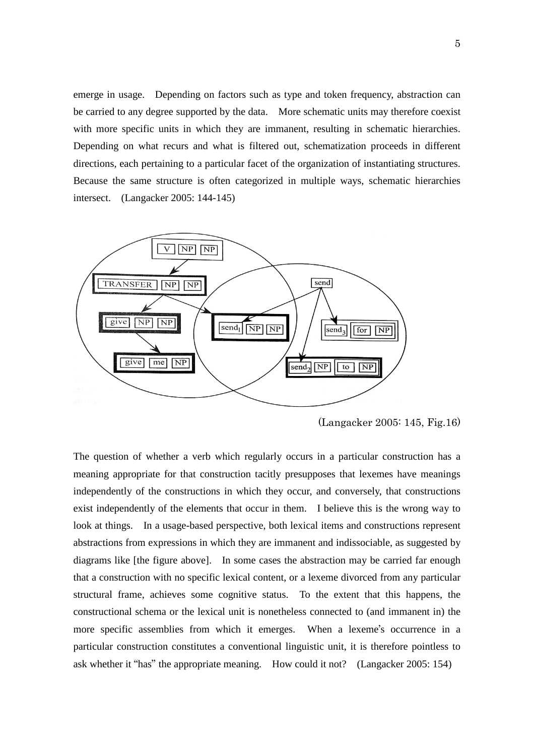emerge in usage. Depending on factors such as type and token frequency, abstraction can be carried to any degree supported by the data. More schematic units may therefore coexist with more specific units in which they are immanent, resulting in schematic hierarchies. Depending on what recurs and what is filtered out, schematization proceeds in different directions, each pertaining to a particular facet of the organization of instantiating structures. Because the same structure is often categorized in multiple ways, schematic hierarchies intersect. (Langacker 2005: 144-145)



(Langacker 2005: 145, Fig.16)

The question of whether a verb which regularly occurs in a particular construction has a meaning appropriate for that construction tacitly presupposes that lexemes have meanings independently of the constructions in which they occur, and conversely, that constructions exist independently of the elements that occur in them. I believe this is the wrong way to look at things. In a usage-based perspective, both lexical items and constructions represent abstractions from expressions in which they are immanent and indissociable, as suggested by diagrams like [the figure above]. In some cases the abstraction may be carried far enough that a construction with no specific lexical content, or a lexeme divorced from any particular structural frame, achieves some cognitive status. To the extent that this happens, the constructional schema or the lexical unit is nonetheless connected to (and immanent in) the more specific assemblies from which it emerges. When a lexeme's occurrence in a particular construction constitutes a conventional linguistic unit, it is therefore pointless to ask whether it "has" the appropriate meaning. How could it not? (Langacker 2005: 154)